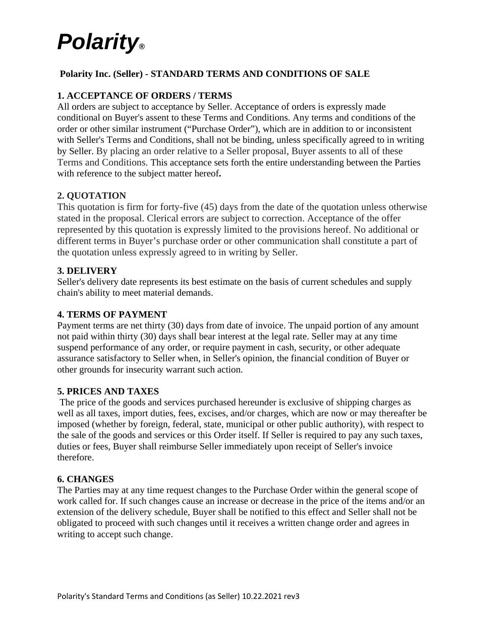### **Polarity Inc. (Seller) - STANDARD TERMS AND CONDITIONS OF SALE**

### **1. ACCEPTANCE OF ORDERS / TERMS**

All orders are subject to acceptance by Seller. Acceptance of orders is expressly made conditional on Buyer's assent to these Terms and Conditions. Any terms and conditions of the order or other similar instrument ("Purchase Order"), which are in addition to or inconsistent with Seller's Terms and Conditions, shall not be binding, unless specifically agreed to in writing by Seller. By placing an order relative to a Seller proposal, Buyer assents to all of these Terms and Conditions. This acceptance sets forth the entire understanding between the Parties with reference to the subject matter hereof**.** 

#### **2. QUOTATION**

This quotation is firm for forty-five (45) days from the date of the quotation unless otherwise stated in the proposal. Clerical errors are subject to correction. Acceptance of the offer represented by this quotation is expressly limited to the provisions hereof. No additional or different terms in Buyer's purchase order or other communication shall constitute a part of the quotation unless expressly agreed to in writing by Seller.

#### **3. DELIVERY**

Seller's delivery date represents its best estimate on the basis of current schedules and supply chain's ability to meet material demands.

#### **4. TERMS OF PAYMENT**

Payment terms are net thirty (30) days from date of invoice. The unpaid portion of any amount not paid within thirty (30) days shall bear interest at the legal rate. Seller may at any time suspend performance of any order, or require payment in cash, security, or other adequate assurance satisfactory to Seller when, in Seller's opinion, the financial condition of Buyer or other grounds for insecurity warrant such action.

#### **5. PRICES AND TAXES**

The price of the goods and services purchased hereunder is exclusive of shipping charges as well as all taxes, import duties, fees, excises, and/or charges, which are now or may thereafter be imposed (whether by foreign, federal, state, municipal or other public authority), with respect to the sale of the goods and services or this Order itself. If Seller is required to pay any such taxes, duties or fees, Buyer shall reimburse Seller immediately upon receipt of Seller's invoice therefore.

#### **6. CHANGES**

The Parties may at any time request changes to the Purchase Order within the general scope of work called for. If such changes cause an increase or decrease in the price of the items and/or an extension of the delivery schedule, Buyer shall be notified to this effect and Seller shall not be obligated to proceed with such changes until it receives a written change order and agrees in writing to accept such change.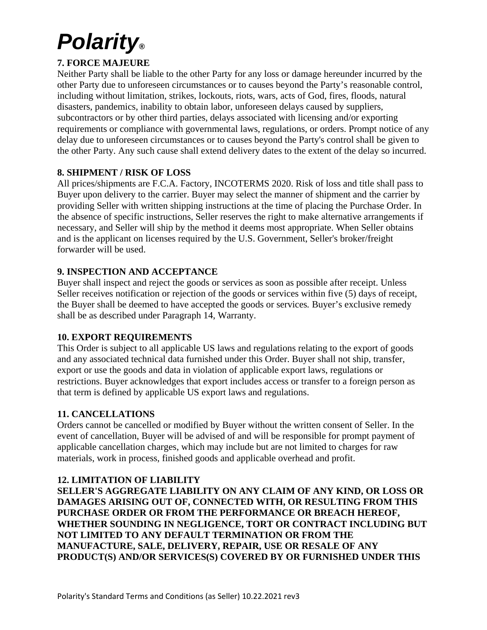## **7. FORCE MAJEURE**

Neither Party shall be liable to the other Party for any loss or damage hereunder incurred by the other Party due to unforeseen circumstances or to causes beyond the Party's reasonable control, including without limitation, strikes, lockouts, riots, wars, acts of God, fires, floods, natural disasters, pandemics, inability to obtain labor, unforeseen delays caused by suppliers, subcontractors or by other third parties, delays associated with licensing and/or exporting requirements or compliance with governmental laws, regulations, or orders. Prompt notice of any delay due to unforeseen circumstances or to causes beyond the Party's control shall be given to the other Party. Any such cause shall extend delivery dates to the extent of the delay so incurred.

### **8. SHIPMENT / RISK OF LOSS**

All prices/shipments are F.C.A. Factory, INCOTERMS 2020. Risk of loss and title shall pass to Buyer upon delivery to the carrier. Buyer may select the manner of shipment and the carrier by providing Seller with written shipping instructions at the time of placing the Purchase Order. In the absence of specific instructions, Seller reserves the right to make alternative arrangements if necessary, and Seller will ship by the method it deems most appropriate. When Seller obtains and is the applicant on licenses required by the U.S. Government, Seller's broker/freight forwarder will be used.

## **9. INSPECTION AND ACCEPTANCE**

Buyer shall inspect and reject the goods or services as soon as possible after receipt. Unless Seller receives notification or rejection of the goods or services within five (5) days of receipt, the Buyer shall be deemed to have accepted the goods or services*.* Buyer's exclusive remedy shall be as described under Paragraph 14, Warranty.

#### **10. EXPORT REQUIREMENTS**

This Order is subject to all applicable US laws and regulations relating to the export of goods and any associated technical data furnished under this Order. Buyer shall not ship, transfer, export or use the goods and data in violation of applicable export laws, regulations or restrictions. Buyer acknowledges that export includes access or transfer to a foreign person as that term is defined by applicable US export laws and regulations.

#### **11. CANCELLATIONS**

Orders cannot be cancelled or modified by Buyer without the written consent of Seller. In the event of cancellation, Buyer will be advised of and will be responsible for prompt payment of applicable cancellation charges, which may include but are not limited to charges for raw materials, work in process, finished goods and applicable overhead and profit.

#### **12. LIMITATION OF LIABILITY**

**SELLER'S AGGREGATE LIABILITY ON ANY CLAIM OF ANY KIND, OR LOSS OR DAMAGES ARISING OUT OF, CONNECTED WITH, OR RESULTING FROM THIS PURCHASE ORDER OR FROM THE PERFORMANCE OR BREACH HEREOF, WHETHER SOUNDING IN NEGLIGENCE, TORT OR CONTRACT INCLUDING BUT NOT LIMITED TO ANY DEFAULT TERMINATION OR FROM THE MANUFACTURE, SALE, DELIVERY, REPAIR, USE OR RESALE OF ANY PRODUCT(S) AND/OR SERVICES(S) COVERED BY OR FURNISHED UNDER THIS**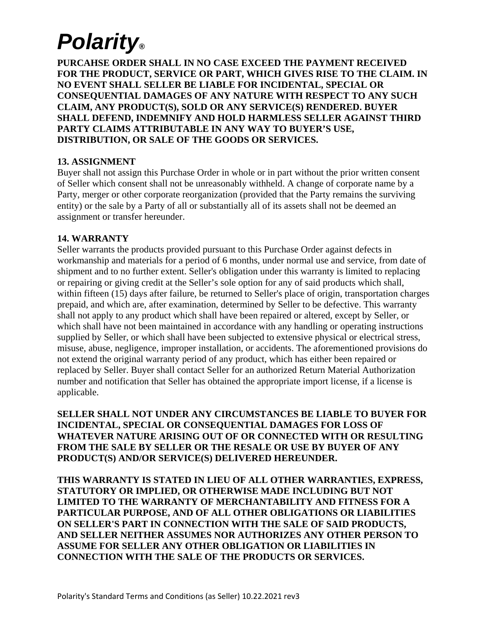**PURCAHSE ORDER SHALL IN NO CASE EXCEED THE PAYMENT RECEIVED FOR THE PRODUCT, SERVICE OR PART, WHICH GIVES RISE TO THE CLAIM. IN NO EVENT SHALL SELLER BE LIABLE FOR INCIDENTAL, SPECIAL OR CONSEQUENTIAL DAMAGES OF ANY NATURE WITH RESPECT TO ANY SUCH CLAIM, ANY PRODUCT(S), SOLD OR ANY SERVICE(S) RENDERED. BUYER SHALL DEFEND, INDEMNIFY AND HOLD HARMLESS SELLER AGAINST THIRD PARTY CLAIMS ATTRIBUTABLE IN ANY WAY TO BUYER'S USE, DISTRIBUTION, OR SALE OF THE GOODS OR SERVICES.** 

### **13. ASSIGNMENT**

Buyer shall not assign this Purchase Order in whole or in part without the prior written consent of Seller which consent shall not be unreasonably withheld. A change of corporate name by a Party, merger or other corporate reorganization (provided that the Party remains the surviving entity) or the sale by a Party of all or substantially all of its assets shall not be deemed an assignment or transfer hereunder.

#### **14. WARRANTY**

Seller warrants the products provided pursuant to this Purchase Order against defects in workmanship and materials for a period of 6 months, under normal use and service, from date of shipment and to no further extent. Seller's obligation under this warranty is limited to replacing or repairing or giving credit at the Seller's sole option for any of said products which shall, within fifteen (15) days after failure, be returned to Seller's place of origin, transportation charges prepaid, and which are, after examination, determined by Seller to be defective. This warranty shall not apply to any product which shall have been repaired or altered, except by Seller, or which shall have not been maintained in accordance with any handling or operating instructions supplied by Seller, or which shall have been subjected to extensive physical or electrical stress, misuse, abuse, negligence, improper installation, or accidents. The aforementioned provisions do not extend the original warranty period of any product, which has either been repaired or replaced by Seller. Buyer shall contact Seller for an authorized Return Material Authorization number and notification that Seller has obtained the appropriate import license, if a license is applicable.

**SELLER SHALL NOT UNDER ANY CIRCUMSTANCES BE LIABLE TO BUYER FOR INCIDENTAL, SPECIAL OR CONSEQUENTIAL DAMAGES FOR LOSS OF WHATEVER NATURE ARISING OUT OF OR CONNECTED WITH OR RESULTING FROM THE SALE BY SELLER OR THE RESALE OR USE BY BUYER OF ANY PRODUCT(S) AND/OR SERVICE(S) DELIVERED HEREUNDER.** 

**THIS WARRANTY IS STATED IN LIEU OF ALL OTHER WARRANTIES, EXPRESS, STATUTORY OR IMPLIED, OR OTHERWISE MADE INCLUDING BUT NOT LIMITED TO THE WARRANTY OF MERCHANTABILITY AND FITNESS FOR A PARTICULAR PURPOSE, AND OF ALL OTHER OBLIGATIONS OR LIABILITIES ON SELLER'S PART IN CONNECTION WITH THE SALE OF SAID PRODUCTS, AND SELLER NEITHER ASSUMES NOR AUTHORIZES ANY OTHER PERSON TO ASSUME FOR SELLER ANY OTHER OBLIGATION OR LIABILITIES IN CONNECTION WITH THE SALE OF THE PRODUCTS OR SERVICES.**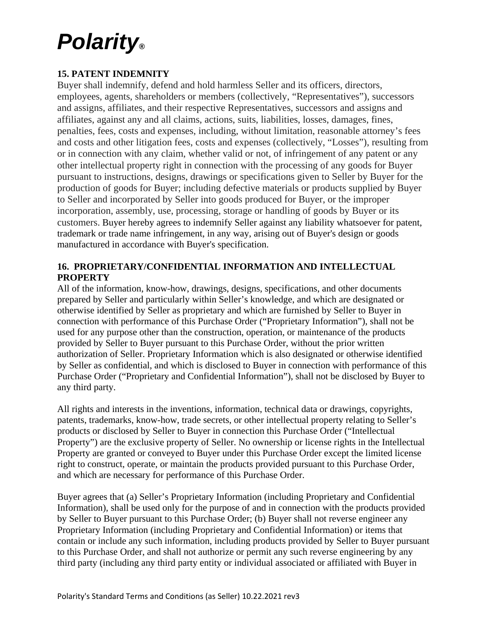## **15. PATENT INDEMNITY**

Buyer shall indemnify, defend and hold harmless Seller and its officers, directors, employees, agents, shareholders or members (collectively, "Representatives"), successors and assigns, affiliates, and their respective Representatives, successors and assigns and affiliates, against any and all claims, actions, suits, liabilities, losses, damages, fines, penalties, fees, costs and expenses, including, without limitation, reasonable attorney's fees and costs and other litigation fees, costs and expenses (collectively, "Losses"), resulting from or in connection with any claim, whether valid or not, of infringement of any patent or any other intellectual property right in connection with the processing of any goods for Buyer pursuant to instructions, designs, drawings or specifications given to Seller by Buyer for the production of goods for Buyer; including defective materials or products supplied by Buyer to Seller and incorporated by Seller into goods produced for Buyer, or the improper incorporation, assembly, use, processing, storage or handling of goods by Buyer or its customers. Buyer hereby agrees to indemnify Seller against any liability whatsoever for patent, trademark or trade name infringement, in any way, arising out of Buyer's design or goods manufactured in accordance with Buyer's specification.

### **16. PROPRIETARY/CONFIDENTIAL INFORMATION AND INTELLECTUAL PROPERTY**

All of the information, know-how, drawings, designs, specifications, and other documents prepared by Seller and particularly within Seller's knowledge, and which are designated or otherwise identified by Seller as proprietary and which are furnished by Seller to Buyer in connection with performance of this Purchase Order ("Proprietary Information"), shall not be used for any purpose other than the construction, operation, or maintenance of the products provided by Seller to Buyer pursuant to this Purchase Order, without the prior written authorization of Seller. Proprietary Information which is also designated or otherwise identified by Seller as confidential, and which is disclosed to Buyer in connection with performance of this Purchase Order ("Proprietary and Confidential Information"), shall not be disclosed by Buyer to any third party.

All rights and interests in the inventions, information, technical data or drawings, copyrights, patents, trademarks, know-how, trade secrets, or other intellectual property relating to Seller's products or disclosed by Seller to Buyer in connection this Purchase Order ("Intellectual Property") are the exclusive property of Seller. No ownership or license rights in the Intellectual Property are granted or conveyed to Buyer under this Purchase Order except the limited license right to construct, operate, or maintain the products provided pursuant to this Purchase Order, and which are necessary for performance of this Purchase Order.

Buyer agrees that (a) Seller's Proprietary Information (including Proprietary and Confidential Information), shall be used only for the purpose of and in connection with the products provided by Seller to Buyer pursuant to this Purchase Order; (b) Buyer shall not reverse engineer any Proprietary Information (including Proprietary and Confidential Information) or items that contain or include any such information, including products provided by Seller to Buyer pursuant to this Purchase Order, and shall not authorize or permit any such reverse engineering by any third party (including any third party entity or individual associated or affiliated with Buyer in